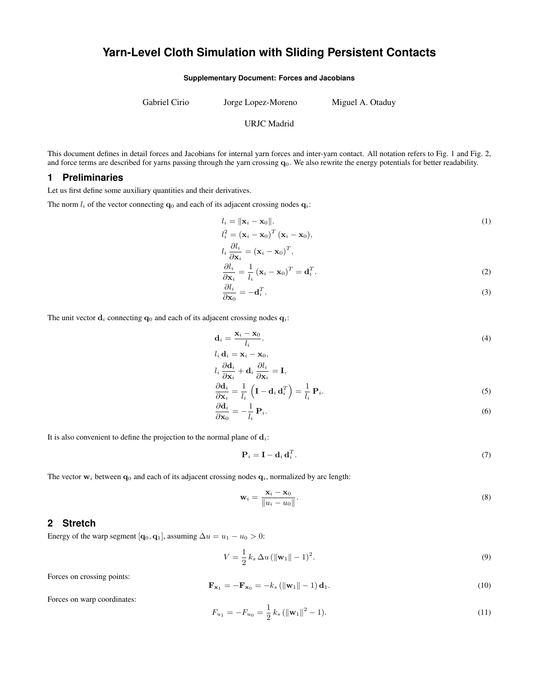# **Yarn-Level Cloth Simulation with Sliding Persistent Contacts**

**Supplementary Document: Forces and Jacobians**

Gabriel Cirio Jorge Lopez-Moreno Miguel A. Otaduy

#### URJC Madrid

This document defines in detail forces and Jacobians for internal yarn forces and inter-yarn contact. All notation refers to Fig. [1](#page-1-0) and Fig. [2,](#page-4-0) and force terms are described for yarns passing through the yarn crossing  $\mathbf{q}_0$ . We also rewrite the energy potentials for better readability.

#### **1 Preliminaries**

Let us first define some auxiliary quantities and their derivatives.

The norm  $l_i$  of the vector connecting  $\mathbf{q}_0$  and each of its adjacent crossing nodes  $\mathbf{q}_i$ :

$$
l_i = \|\mathbf{x}_i - \mathbf{x}_0\|.
$$
  
\n
$$
l_i^2 = (\mathbf{x}_i - \mathbf{x}_0)^T (\mathbf{x}_i - \mathbf{x}_0),
$$
  
\n
$$
l_i \frac{\partial l_i}{\partial \mathbf{x}_i} = (\mathbf{x}_i - \mathbf{x}_0)^T,
$$
\n(1)

$$
\frac{\partial l_i}{\partial \mathbf{x}_i} = \frac{1}{l_i} (\mathbf{x}_i - \mathbf{x}_0)^T = \mathbf{d}_i^T.
$$
 (2)

$$
\frac{\partial l_i}{\partial \mathbf{x}_0} = -\mathbf{d}_i^T. \tag{3}
$$

The unit vector  $\mathbf{d}_i$  connecting  $\mathbf{q}_0$  and each of its adjacent crossing nodes  $\mathbf{q}_i$ :

$$
\mathbf{d}_i = \frac{\mathbf{x}_i - \mathbf{x}_0}{l_i}.\tag{4}
$$

$$
l_i \, \mathbf{d}_i = \mathbf{x}_i - \mathbf{x}_0,
$$
  

$$
l_i \, \frac{\partial \mathbf{d}_i}{\partial \mathbf{x}_i} + \mathbf{d}_i \, \frac{\partial l_i}{\partial \mathbf{x}_i} = \mathbf{I},
$$

$$
\frac{\partial \mathbf{d}_i}{\partial \mathbf{x}_i} = \frac{1}{l_i} \left( \mathbf{I} - \mathbf{d}_i \mathbf{d}_i^T \right) = \frac{1}{l_i} \mathbf{P}_i.
$$
 (5)

$$
\frac{\partial \mathbf{d}_i}{\partial \mathbf{x}_0} = -\frac{1}{l_i} \mathbf{P}_i. \tag{6}
$$

It is also convenient to define the projection to the normal plane of  $\mathbf{d}_i$ :

$$
\mathbf{P}_i = \mathbf{I} - \mathbf{d}_i \, \mathbf{d}_i^T. \tag{7}
$$

The vector  $w_i$  between  $q_0$  and each of its adjacent crossing nodes  $q_i$ , normalized by arc length:

$$
\mathbf{w}_i = \frac{\mathbf{x}_i - \mathbf{x}_0}{\|u_i - u_0\|}.\tag{8}
$$

### **2 Stretch**

Energy of the warp segment [ $\mathbf{q}_0$ ,  $\mathbf{q}_1$ ], assuming  $\Delta u = u_1 - u_0 > 0$ :

$$
V = \frac{1}{2} k_s \, \Delta u \, (\|\mathbf{w}_1\| - 1)^2. \tag{9}
$$

Forces on crossing points:

$$
\mathbf{F}_{\mathbf{x}_1} = -\mathbf{F}_{\mathbf{x}_0} = -k_s \left( \|\mathbf{w}_1\| - 1 \right) \mathbf{d}_1. \tag{10}
$$

Forces on warp coordinates:

$$
F_{u_1} = -F_{u_0} = \frac{1}{2} k_s \left( \|\mathbf{w}_1\|^2 - 1 \right).
$$
 (11)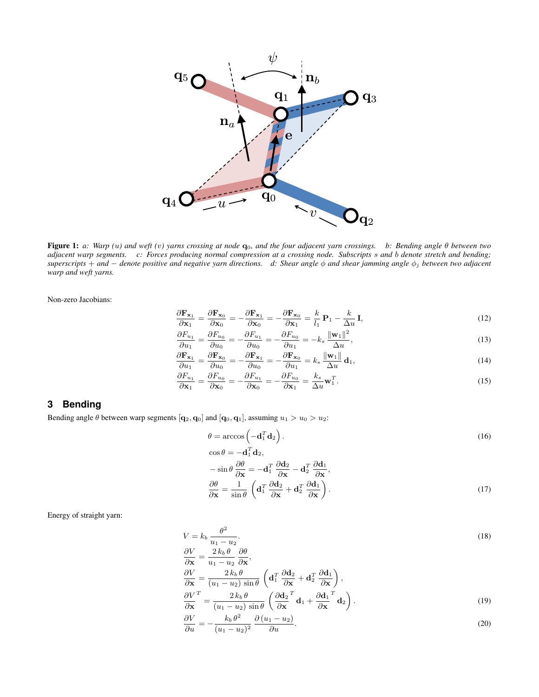<span id="page-1-0"></span>

Figure 1: *a: Warp (*u*) and weft (*v*) yarns crossing at node* q0*, and the four adjacent yarn crossings. b: Bending angle* θ *between two adjacent warp segments. c: Forces producing normal compression at a crossing node. Subscripts* s *and* b *denote stretch and bending; superscripts* + *and* − *denote positive and negative yarn directions. d: Shear angle* φ *and shear jamming angle* φ<sup>j</sup> *between two adjacent warp and weft yarns.*

Non-zero Jacobians:

$$
\frac{\partial \mathbf{F}_{\mathbf{x}_1}}{\partial \mathbf{x}_1} = \frac{\partial \mathbf{F}_{\mathbf{x}_0}}{\partial \mathbf{x}_0} = -\frac{\partial \mathbf{F}_{\mathbf{x}_1}}{\partial \mathbf{x}_0} = -\frac{\partial \mathbf{F}_{\mathbf{x}_0}}{\partial \mathbf{x}_1} = \frac{k}{l_1} \mathbf{P}_1 - \frac{k}{\Delta u} \mathbf{I},\tag{12}
$$

$$
\frac{\partial F_{u_1}}{\partial u_1} = \frac{\partial F_{u_0}}{\partial u_0} = -\frac{\partial F_{u_1}}{\partial u_0} = -\frac{\partial F_{u_0}}{\partial u_1} = -k_s \frac{\|\mathbf{w}_1\|^2}{\Delta u},\tag{13}
$$

$$
\frac{\partial \mathbf{F}_{\mathbf{x}_1}}{\partial u_1} = \frac{\partial \mathbf{F}_{\mathbf{x}_0}}{\partial u_0} = -\frac{\partial \mathbf{F}_{\mathbf{x}_1}}{\partial u_0} = -\frac{\partial \mathbf{F}_{\mathbf{x}_0}}{\partial u_1} = k_s \frac{\|\mathbf{w}_1\|}{\Delta u} \mathbf{d}_1,
$$
\n(14)

$$
\frac{\partial F_{u_1}}{\partial \mathbf{x}_1} = \frac{\partial F_{u_0}}{\partial \mathbf{x}_0} = -\frac{\partial F_{u_1}}{\partial \mathbf{x}_0} = -\frac{\partial F_{u_0}}{\partial \mathbf{x}_1} = \frac{k_s}{\Delta u} \mathbf{w}_1^T.
$$
\n(15)

### **3 Bending**

Bending angle  $\theta$  between warp segments  $[q_2, q_0]$  and  $[q_0, q_1]$ , assuming  $u_1 > u_0 > u_2$ :

$$
\theta = \arccos\left(-\mathbf{d}_1^T \mathbf{d}_2\right). \tag{16}
$$

$$
\cos \theta = -\mathbf{d}_1^T \mathbf{d}_2, \n- \sin \theta \frac{\partial \theta}{\partial \mathbf{x}} = -\mathbf{d}_1^T \frac{\partial \mathbf{d}_2}{\partial \mathbf{x}} - \mathbf{d}_2^T \frac{\partial \mathbf{d}_1}{\partial \mathbf{x}}, \n\frac{\partial \theta}{\partial \mathbf{x}} = \frac{1}{\sin \theta} \left( \mathbf{d}_1^T \frac{\partial \mathbf{d}_2}{\partial \mathbf{x}} + \mathbf{d}_2^T \frac{\partial \mathbf{d}_1}{\partial \mathbf{x}} \right).
$$
\n(17)

Energy of straight yarn:

$$
V = k_b \frac{\theta^2}{u_1 - u_2}.
$$
  
\n
$$
\frac{\partial V}{\partial \mathbf{x}} = \frac{2 k_b \theta}{u_1 - u_2} \frac{\partial \theta}{\partial \mathbf{x}},
$$
  
\n
$$
\frac{\partial V}{\partial \mathbf{x}} = \frac{2 k_b \theta}{(u_1 - u_2) \sin \theta} \left( \mathbf{d}_1^T \frac{\partial \mathbf{d}_2}{\partial \mathbf{x}} + \mathbf{d}_2^T \frac{\partial \mathbf{d}_1}{\partial \mathbf{x}} \right),
$$
  
\n
$$
\frac{\partial V}{\partial \mathbf{x}}^T = \frac{2 k_b \theta}{(u_1 - u_2) \sin \theta} \left( \frac{\partial \mathbf{d}_2}{\partial \mathbf{x}}^T \mathbf{d}_1 + \frac{\partial \mathbf{d}_1}{\partial \mathbf{x}}^T \mathbf{d}_2 \right).
$$
\n(19)

$$
\frac{\partial V}{\partial u} = -\frac{k_b \theta^2}{(u_1 - u_2)^2} \frac{\partial (u_1 - u_2)}{\partial u}.
$$
\n(20)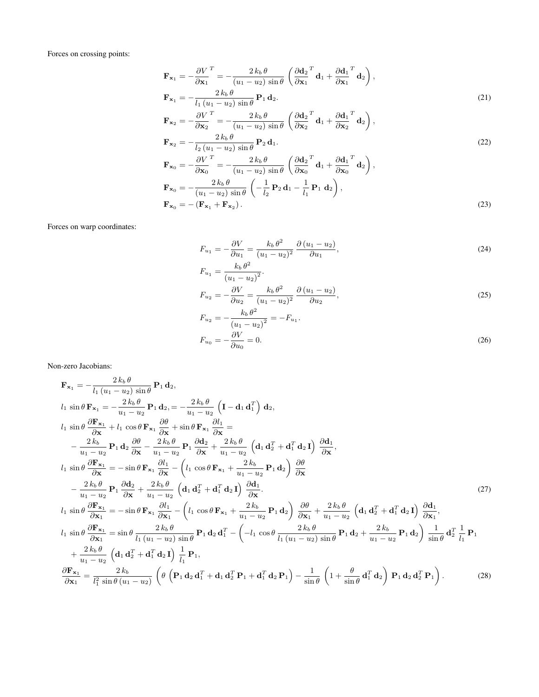Forces on crossing points:

$$
\mathbf{F}_{\mathbf{x}_1} = -\frac{\partial V}{\partial \mathbf{x}_1}^T = -\frac{2 k_b \theta}{(u_1 - u_2) \sin \theta} \left( \frac{\partial \mathbf{d}_2}{\partial \mathbf{x}_1}^T \mathbf{d}_1 + \frac{\partial \mathbf{d}_1}{\partial \mathbf{x}_1}^T \mathbf{d}_2 \right),
$$
\n
$$
\mathbf{F}_{\mathbf{x}_1} = -\frac{2 k_b \theta}{l_1 (u_1 - u_2) \sin \theta} \mathbf{P}_1 \mathbf{d}_2.
$$
\n
$$
\mathbf{F}_{\mathbf{x}_2} = \frac{\partial V}{\partial \mathbf{F}} \frac{2 k_b \theta}{2 k_b \theta} \left( \frac{\partial \mathbf{d}_2}{\partial \mathbf{d}_2}^T \mathbf{d}_1 + \frac{\partial \mathbf{d}_1}{\partial \mathbf{d}_1}^T \mathbf{d}_2 \right).
$$
\n(21)

$$
\mathbf{F}_{\mathbf{x}_2} = -\frac{\partial \mathbf{v}}{\partial \mathbf{x}_2} = -\frac{2k_b \theta}{(u_1 - u_2) \sin \theta} \left( \frac{\partial \mathbf{q}_2}{\partial \mathbf{x}_2} \mathbf{d}_1 + \frac{\partial \mathbf{q}_1}{\partial \mathbf{x}_2} \mathbf{d}_2 \right),
$$
  
\n
$$
\mathbf{F}_{\mathbf{x}_2} = -\frac{2k_b \theta}{(u_1 - u_2) \sin \theta} \mathbf{P}_2 \mathbf{d}_1.
$$
 (22)

$$
\mathbf{F}_{\mathbf{x}_0} = -\frac{\partial V}{\partial \mathbf{x}_0}^T = -\frac{2 k_b \theta}{(u_1 - u_2) \sin \theta} \left( \frac{\partial \mathbf{d}_2}{\partial \mathbf{x}_0}^T \mathbf{d}_1 + \frac{\partial \mathbf{d}_1}{\partial \mathbf{x}_0}^T \mathbf{d}_2 \right),
$$
\n
$$
\mathbf{F}_{\mathbf{x}_0} = -\frac{2 k_b \theta}{(u_1 - u_2) \sin \theta} \left( -\frac{1}{l_2} \mathbf{P}_2 \mathbf{d}_1 - \frac{1}{l_1} \mathbf{P}_1 \mathbf{d}_2 \right),
$$
\n
$$
\mathbf{F}_{\mathbf{x}_0} = -(\mathbf{F}_{\mathbf{x}_1} + \mathbf{F}_{\mathbf{x}_2}).
$$
\n(23)

Forces on warp coordinates:

$$
F_{u_1} = -\frac{\partial V}{\partial u_1} = \frac{k_b \theta^2}{(u_1 - u_2)^2} \frac{\partial (u_1 - u_2)}{\partial u_1},\tag{24}
$$

$$
F_{u_1} = \frac{k_b \theta^2}{(u_1 - u_2)^2}.
$$
  
\n
$$
F_{u_2} = -\frac{\partial V}{\partial u_2} = \frac{k_b \theta^2}{(u_1 - u_2)^2} \frac{\partial (u_1 - u_2)}{\partial u_2},
$$
\n(25)

$$
F_{u_2} = -\frac{k_b \theta^2}{(u_1 - u_2)^2} = -F_{u_1}.
$$
  

$$
F_{u_0} = -\frac{\partial V}{\partial u_0} = 0.
$$
 (26)

Non-zero Jacobians:

$$
\mathbf{F}_{\mathbf{x}_1} = -\frac{2k_b \theta}{l_1 (u_1 - u_2) \sin \theta} \mathbf{P}_1 \mathbf{d}_2,
$$
\n
$$
l_1 \sin \theta \mathbf{F}_{\mathbf{x}_1} = -\frac{2k_b \theta}{u_1 - u_2} \mathbf{P}_1 \mathbf{d}_2 = -\frac{2k_b \theta}{u_1 - u_2} \left( \mathbf{I} - \mathbf{d}_1 \mathbf{d}_1^T \right) \mathbf{d}_2,
$$
\n
$$
l_1 \sin \theta \frac{\partial \mathbf{F}_{\mathbf{x}_1}}{\partial \mathbf{x}} + l_1 \cos \theta \mathbf{F}_{\mathbf{x}_1} \frac{\partial \theta}{\partial \mathbf{x}} + \sin \theta \mathbf{F}_{\mathbf{x}_1} \frac{\partial l_1}{\partial \mathbf{x}} =
$$
\n
$$
-\frac{2k_b}{u_1 - u_2} \mathbf{P}_1 \mathbf{d}_2 \frac{\partial \theta}{\partial \mathbf{x}} - \frac{2k_b \theta}{u_1 - u_2} \mathbf{P}_1 \frac{\partial \mathbf{d}_2}{\partial \mathbf{x}} + \frac{2k_b \theta}{u_1 - u_2} \left( \mathbf{d}_1 \mathbf{d}_2^T + \mathbf{d}_1^T \mathbf{d}_2 \mathbf{I} \right) \frac{\partial \mathbf{d}_1}{\partial \mathbf{x}},
$$
\n
$$
l_1 \sin \theta \frac{\partial \mathbf{F}_{\mathbf{x}_1}}{\partial \mathbf{x}} = -\sin \theta \mathbf{F}_{\mathbf{x}_1} \frac{\partial l_1}{\partial \mathbf{x}} - \left( l_1 \cos \theta \mathbf{F}_{\mathbf{x}_1} + \frac{2k_b}{u_1 - u_2} \mathbf{P}_1 \mathbf{d}_2 \right) \frac{\partial \theta}{\partial \mathbf{x}} - \frac{2k_b \theta}{u_1 - u_2} \mathbf{P}_1 \frac{\partial \mathbf{d}_2}{\partial \mathbf{x}} + \frac{2k_b \theta}{u_1 - u_2} \left( \mathbf{d}_1 \mathbf{d}_2^T + \mathbf{d}_1^T \mathbf{d}_2 \mathbf{I} \right) \frac{\partial \mathbf{d}_1}{\partial \mathbf{x}}.
$$
\n
$$
l_1 \sin \theta \frac{\partial \mathbf{F
$$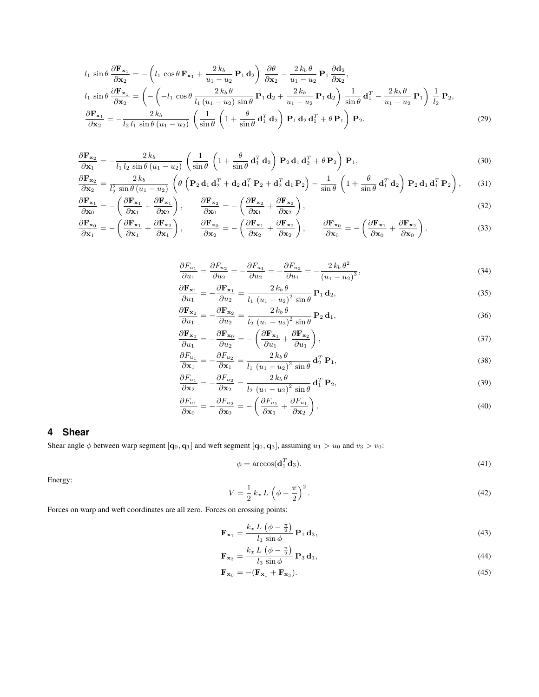$$
l_1 \sin \theta \frac{\partial \mathbf{F}_{\mathbf{x}_1}}{\partial \mathbf{x}_2} = -\left(l_1 \cos \theta \mathbf{F}_{\mathbf{x}_1} + \frac{2k_b}{u_1 - u_2} \mathbf{P}_1 \mathbf{d}_2\right) \frac{\partial \theta}{\partial \mathbf{x}_2} - \frac{2k_b \theta}{u_1 - u_2} \mathbf{P}_1 \frac{\partial \mathbf{d}_2}{\partial \mathbf{x}_2},
$$
  
\n
$$
l_1 \sin \theta \frac{\partial \mathbf{F}_{\mathbf{x}_1}}{\partial \mathbf{x}_2} = \left(-\left(-l_1 \cos \theta \frac{2k_b \theta}{l_1 (u_1 - u_2) \sin \theta} \mathbf{P}_1 \mathbf{d}_2 + \frac{2k_b}{u_1 - u_2} \mathbf{P}_1 \mathbf{d}_2\right) \frac{1}{\sin \theta} \mathbf{d}_1^T - \frac{2k_b \theta}{u_1 - u_2} \mathbf{P}_1\right) \frac{1}{l_2} \mathbf{P}_2,
$$
  
\n
$$
\frac{\partial \mathbf{F}_{\mathbf{x}_1}}{\partial \mathbf{x}_2} = -\frac{2k_b}{l_2 l_1 \sin \theta (u_1 - u_2)} \left(\frac{1}{\sin \theta} \left(1 + \frac{\theta}{\sin \theta} \mathbf{d}_1^T \mathbf{d}_2\right) \mathbf{P}_1 \mathbf{d}_2 \mathbf{d}_1^T + \theta \mathbf{P}_1\right) \mathbf{P}_2.
$$
\n(29)

$$
\frac{\partial \mathbf{F}_{\mathbf{x}_2}}{\partial \mathbf{x}_1} = -\frac{2 k_b}{l_1 l_2 \sin \theta (u_1 - u_2)} \left( \frac{1}{\sin \theta} \left( 1 + \frac{\theta}{\sin \theta} \mathbf{d}_1^T \mathbf{d}_2 \right) \mathbf{P}_2 \mathbf{d}_1 \mathbf{d}_2^T + \theta \mathbf{P}_2 \right) \mathbf{P}_1,
$$
\n(30)

$$
\frac{\partial \mathbf{F}_{\mathbf{x}_2}}{\partial \mathbf{x}_2} = \frac{2 k_b}{l_2^2 \sin \theta (u_1 - u_2)} \left( \theta \left( \mathbf{P}_2 \mathbf{d}_1 \mathbf{d}_2^T + \mathbf{d}_2 \mathbf{d}_1^T \mathbf{P}_2 + \mathbf{d}_2^T \mathbf{d}_1 \mathbf{P}_2 \right) - \frac{1}{\sin \theta} \left( 1 + \frac{\theta}{\sin \theta} \mathbf{d}_1^T \mathbf{d}_2 \right) \mathbf{P}_2 \mathbf{d}_1 \mathbf{d}_1^T \mathbf{P}_2 \right), \tag{31}
$$

$$
\frac{\partial \mathbf{F}_{\mathbf{x}_1}}{\partial \mathbf{x}_0} = -\left(\frac{\partial \mathbf{F}_{\mathbf{x}_1}}{\partial \mathbf{x}_1} + \frac{\partial \mathbf{F}_{\mathbf{x}_1}}{\partial \mathbf{x}_2}\right), \qquad \frac{\partial \mathbf{F}_{\mathbf{x}_2}}{\partial \mathbf{x}_0} = -\left(\frac{\partial \mathbf{F}_{\mathbf{x}_2}}{\partial \mathbf{x}_1} + \frac{\partial \mathbf{F}_{\mathbf{x}_2}}{\partial \mathbf{x}_2}\right),\tag{32}
$$

$$
\frac{\partial \mathbf{F}_{\mathbf{x}_0}}{\partial \mathbf{x}_1} = -\left(\frac{\partial \mathbf{F}_{\mathbf{x}_1}}{\partial \mathbf{x}_1} + \frac{\partial \mathbf{F}_{\mathbf{x}_2}}{\partial \mathbf{x}_1}\right), \qquad \frac{\partial \mathbf{F}_{\mathbf{x}_0}}{\partial \mathbf{x}_2} = -\left(\frac{\partial \mathbf{F}_{\mathbf{x}_1}}{\partial \mathbf{x}_2} + \frac{\partial \mathbf{F}_{\mathbf{x}_2}}{\partial \mathbf{x}_2}\right), \qquad \frac{\partial \mathbf{F}_{\mathbf{x}_0}}{\partial \mathbf{x}_0} = -\left(\frac{\partial \mathbf{F}_{\mathbf{x}_1}}{\partial \mathbf{x}_0} + \frac{\partial \mathbf{F}_{\mathbf{x}_2}}{\partial \mathbf{x}_0}\right). \tag{33}
$$

$$
\frac{\partial F_{u_1}}{\partial u_1} = \frac{\partial F_{u_2}}{\partial u_2} = -\frac{\partial F_{u_1}}{\partial u_2} = -\frac{\partial F_{u_2}}{\partial u_1} = -\frac{2 k_b \theta^2}{(u_1 - u_2)^3},\tag{34}
$$

$$
\frac{\partial \mathbf{F}_{\mathbf{x}_1}}{\partial u_1} = -\frac{\partial \mathbf{F}_{\mathbf{x}_1}}{\partial u_2} = \frac{2 k_b \theta}{l_1 (u_1 - u_2)^2 \sin \theta} \mathbf{P}_1 \mathbf{d}_2,
$$
\n(35)

$$
\frac{\partial \mathbf{F}_{\mathbf{x}_2}}{\partial u_1} = -\frac{\partial \mathbf{F}_{\mathbf{x}_2}}{\partial u_2} = \frac{2 k_b \theta}{l_2 (u_1 - u_2)^2 \sin \theta} \mathbf{P}_2 \mathbf{d}_1,
$$
\n(36)

$$
\frac{\partial \mathbf{F}_{\mathbf{x}_0}}{\partial u_1} = -\frac{\partial \mathbf{F}_{\mathbf{x}_0}}{\partial u_2} = -\left(\frac{\partial \mathbf{F}_{\mathbf{x}_1}}{\partial u_1} + \frac{\partial \mathbf{F}_{\mathbf{x}_2}}{\partial u_1}\right),\tag{37}
$$

$$
\frac{\partial F_{u_1}}{\partial \mathbf{x}_1} = -\frac{\partial F_{u_2}}{\partial \mathbf{x}_1} = \frac{2 k_b \theta}{l_1 (u_1 - u_2)^2 \sin \theta} \mathbf{d}_2^T \mathbf{P}_1,\tag{38}
$$

$$
\frac{\partial F_{u_1}}{\partial \mathbf{x}_2} = -\frac{\partial F_{u_2}}{\partial \mathbf{x}_2} = \frac{2 k_b \theta}{l_2 (u_1 - u_2)^2 \sin \theta} \mathbf{d}_1^T \mathbf{P}_2,
$$
\n(39)

$$
\frac{\partial F_{u_1}}{\partial \mathbf{x}_0} = -\frac{\partial F_{u_2}}{\partial \mathbf{x}_0} = -\left(\frac{\partial F_{u_1}}{\partial \mathbf{x}_1} + \frac{\partial F_{u_1}}{\partial \mathbf{x}_2}\right). \tag{40}
$$

## **4 Shear**

Shear angle  $\phi$  between warp segment  $[q_0, q_1]$  and weft segment  $[q_0, q_3]$ , assuming  $u_1 > u_0$  and  $v_3 > v_0$ :

$$
\phi = \arccos(\mathbf{d}_1^T \mathbf{d}_3). \tag{41}
$$

Energy:

$$
V = \frac{1}{2} k_x L \left( \phi - \frac{\pi}{2} \right)^2.
$$
\n
$$
(42)
$$

Forces on warp and weft coordinates are all zero. Forces on crossing points:

$$
\mathbf{F}_{\mathbf{x}_1} = \frac{k_x L \left(\phi - \frac{\pi}{2}\right)}{l_1 \sin \phi} \, \mathbf{P}_1 \, \mathbf{d}_3,\tag{43}
$$

$$
\mathbf{F}_{\mathbf{x}_3} = \frac{k_x L \left(\phi - \frac{\pi}{2}\right)}{l_3 \sin \phi} \mathbf{P}_3 \mathbf{d}_1,\tag{44}
$$

$$
\mathbf{F}_{\mathbf{x}_0} = -(\mathbf{F}_{\mathbf{x}_1} + \mathbf{F}_{\mathbf{x}_3}).\tag{45}
$$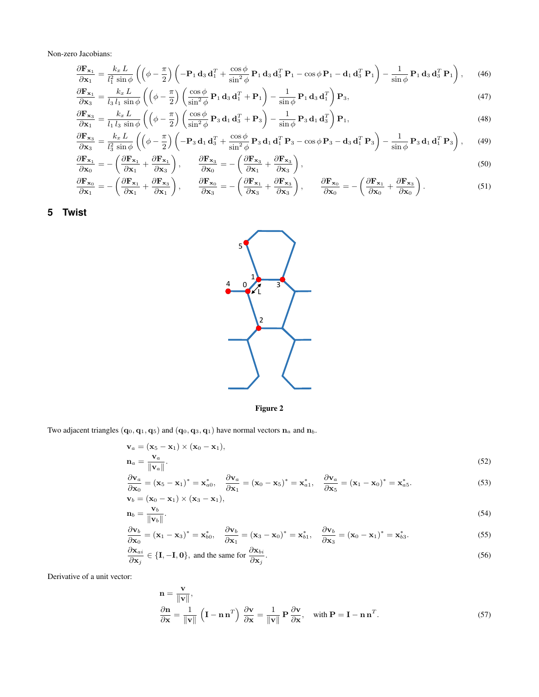Non-zero Jacobians:

$$
\frac{\partial \mathbf{F}_{\mathbf{x}_1}}{\partial \mathbf{x}_1} = \frac{k_x L}{l_1^2 \sin \phi} \left( \left( \phi - \frac{\pi}{2} \right) \left( -\mathbf{P}_1 \mathbf{d}_3 \mathbf{d}_1^T + \frac{\cos \phi}{\sin^2 \phi} \mathbf{P}_1 \mathbf{d}_3 \mathbf{d}_3^T \mathbf{P}_1 - \cos \phi \mathbf{P}_1 - \mathbf{d}_1 \mathbf{d}_3^T \mathbf{P}_1 \right) - \frac{1}{\sin \phi} \mathbf{P}_1 \mathbf{d}_3 \mathbf{d}_3^T \mathbf{P}_1 \right), \quad (46)
$$

$$
\frac{\partial \mathbf{F}_{\mathbf{x}_1}}{\partial \mathbf{x}_3} = \frac{k_x L}{l_3 l_1 \sin \phi} \left( \left( \phi - \frac{\pi}{2} \right) \left( \frac{\cos \phi}{\sin^2 \phi} \mathbf{P}_1 \mathbf{d}_3 \mathbf{d}_1^T + \mathbf{P}_1 \right) - \frac{1}{\sin \phi} \mathbf{P}_1 \mathbf{d}_3 \mathbf{d}_1^T \right) \mathbf{P}_3, \tag{47}
$$

$$
\frac{\partial \mathbf{F}_{\mathbf{x}_3}}{\partial \mathbf{x}_1} = \frac{k_x L}{l_1 l_3 \sin \phi} \left( \left( \phi - \frac{\pi}{2} \right) \left( \frac{\cos \phi}{\sin^2 \phi} \mathbf{P}_3 \mathbf{d}_1 \mathbf{d}_3^T + \mathbf{P}_3 \right) - \frac{1}{\sin \phi} \mathbf{P}_3 \mathbf{d}_1 \mathbf{d}_3^T \right) \mathbf{P}_1, \tag{48}
$$

$$
\frac{\partial \mathbf{F}_{\mathbf{x}_3}}{\partial \mathbf{x}_3} = \frac{k_x L}{l_3^2 \sin \phi} \left( \left( \phi - \frac{\pi}{2} \right) \left( -\mathbf{P}_3 \mathbf{d}_1 \mathbf{d}_3^T + \frac{\cos \phi}{\sin^2 \phi} \mathbf{P}_3 \mathbf{d}_1 \mathbf{d}_1^T \mathbf{P}_3 - \cos \phi \mathbf{P}_3 - \mathbf{d}_3 \mathbf{d}_1^T \mathbf{P}_3 \right) - \frac{1}{\sin \phi} \mathbf{P}_3 \mathbf{d}_1 \mathbf{d}_1^T \mathbf{P}_3 \right), \tag{49}
$$

$$
\frac{\partial \mathbf{F}_{\mathbf{x}_1}}{\partial \mathbf{x}_0} = -\left(\frac{\partial \mathbf{F}_{\mathbf{x}_1}}{\partial \mathbf{x}_1} + \frac{\partial \mathbf{F}_{\mathbf{x}_1}}{\partial \mathbf{x}_3}\right), \qquad \frac{\partial \mathbf{F}_{\mathbf{x}_3}}{\partial \mathbf{x}_0} = -\left(\frac{\partial \mathbf{F}_{\mathbf{x}_3}}{\partial \mathbf{x}_1} + \frac{\partial \mathbf{F}_{\mathbf{x}_3}}{\partial \mathbf{x}_3}\right),
$$
\n
$$
\frac{\partial \mathbf{F}_{\mathbf{x}_2}}{\partial \mathbf{F}_{\mathbf{x}_3}} = -\left(\frac{\partial \mathbf{F}_{\mathbf{x}_3}}{\partial \mathbf{x}_1} + \frac{\partial \mathbf{F}_{\mathbf{x}_3}}{\partial \mathbf{x}_2}\right),
$$
\n
$$
\frac{\partial \mathbf{F}_{\mathbf{x}_4}}{\partial \mathbf{F}_{\mathbf{x}_5}} = -\left(\frac{\partial \mathbf{F}_{\mathbf{x}_6}}{\partial \mathbf{F}_{\mathbf{x}_6}} + \frac{\partial \mathbf{F}_{\mathbf{x}_7}}{\partial \mathbf{F}_{\mathbf{x}_7}}\right),
$$
\n
$$
\frac{\partial \mathbf{F}_{\mathbf{x}_8}}{\partial \mathbf{F}_{\mathbf{x}_9}} = -\left(\frac{\partial \mathbf{F}_{\mathbf{x}_9}}{\partial \mathbf{F}_{\mathbf{x}_9}} + \frac{\partial \mathbf{F}_{\mathbf{x}_9}}{\partial \mathbf{F}_{\mathbf{x}_9}}\right),
$$
\n
$$
\frac{\partial \mathbf{F}_{\mathbf{x}_9}}{\partial \mathbf{F}_{\mathbf{x}_9}} = -\left(\frac{\partial \mathbf{F}_{\mathbf{x}_9}}{\partial \mathbf{F}_{\mathbf{x}_9}} + \frac{\partial \mathbf{F}_{\mathbf{x}_9}}{\partial \mathbf{F}_{\mathbf{x}_9}}\right),
$$
\n
$$
\frac{\partial \mathbf{F}_{\mathbf{x}_9}}{\partial \mathbf{F}_{\mathbf{x}_9}} = -\left(\frac{\partial \mathbf{F}_{\mathbf{x}_9}}{\partial \mathbf{F}_{\mathbf{x}_9}} + \frac{\partial \mathbf{F}_{\mathbf{x}_9}}{\partial \mathbf{F}_{\mathbf{x}_9}}\right),
$$
\n
$$
\frac{\partial \mathbf{F}_{\mathbf{x}_9}}{\partial \mathbf{F}_{\
$$

$$
\frac{\partial \mathbf{F}_{\mathbf{x}_0}}{\partial \mathbf{x}_1} = -\left(\frac{\partial \mathbf{F}_{\mathbf{x}_1}}{\partial \mathbf{x}_1} + \frac{\partial \mathbf{F}_{\mathbf{x}_3}}{\partial \mathbf{x}_1}\right), \qquad \frac{\partial \mathbf{F}_{\mathbf{x}_0}}{\partial \mathbf{x}_3} = -\left(\frac{\partial \mathbf{F}_{\mathbf{x}_1}}{\partial \mathbf{x}_3} + \frac{\partial \mathbf{F}_{\mathbf{x}_3}}{\partial \mathbf{x}_3}\right), \qquad \frac{\partial \mathbf{F}_{\mathbf{x}_0}}{\partial \mathbf{x}_0} = -\left(\frac{\partial \mathbf{F}_{\mathbf{x}_1}}{\partial \mathbf{x}_0} + \frac{\partial \mathbf{F}_{\mathbf{x}_3}}{\partial \mathbf{x}_0}\right).
$$
\n(51)

<span id="page-4-0"></span>**5 Twist**





Two adjacent triangles  $(q_0, q_1, q_5)$  and  $(q_0, q_3, q_1)$  have normal vectors  $n_a$  and  $n_b$ .

$$
\mathbf{v}_a = (\mathbf{x}_5 - \mathbf{x}_1) \times (\mathbf{x}_0 - \mathbf{x}_1),
$$
  
\n
$$
\mathbf{n}_a = \frac{\mathbf{v}_a}{\|\mathbf{v}_a\|}.
$$
\n(52)

$$
\frac{\partial \mathbf{v}_a}{\partial \mathbf{x}_0} = (\mathbf{x}_5 - \mathbf{x}_1)^* = \mathbf{x}_{a0}^*, \quad \frac{\partial \mathbf{v}_a}{\partial \mathbf{x}_1} = (\mathbf{x}_0 - \mathbf{x}_5)^* = \mathbf{x}_{a1}^*, \quad \frac{\partial \mathbf{v}_a}{\partial \mathbf{x}_5} = (\mathbf{x}_1 - \mathbf{x}_0)^* = \mathbf{x}_{a5}^*.
$$
\n(53)

$$
\mathbf{v}_b = (\mathbf{x}_0 - \mathbf{x}_1) \times (\mathbf{x}_3 - \mathbf{x}_1),
$$
  
\n
$$
\mathbf{n}_b = \frac{\mathbf{v}_b}{\|\mathbf{v}\|}.
$$
\n(54)

$$
\frac{\partial \mathbf{v}_b}{\partial \mathbf{x}_0} = (\mathbf{x}_1 - \mathbf{x}_3)^* = \mathbf{x}_{b0}^*, \quad \frac{\partial \mathbf{v}_b}{\partial \mathbf{x}_1} = (\mathbf{x}_3 - \mathbf{x}_0)^* = \mathbf{x}_{b1}^*, \quad \frac{\partial \mathbf{v}_b}{\partial \mathbf{x}_3} = (\mathbf{x}_0 - \mathbf{x}_1)^* = \mathbf{x}_{b3}^*.
$$
 (55)

$$
\frac{\partial \mathbf{x}_{ai}}{\partial \mathbf{x}_j} \in \{\mathbf{I}, -\mathbf{I}, \mathbf{0}\}, \text{ and the same for } \frac{\partial \mathbf{x}_{bi}}{\partial \mathbf{x}_j}.
$$
\n(56)

Derivative of a unit vector:

$$
\mathbf{n} = \frac{\mathbf{v}}{\|\mathbf{v}\|},
$$
\n
$$
\frac{\partial \mathbf{n}}{\partial \mathbf{x}} = \frac{1}{\|\mathbf{v}\|} \left( \mathbf{I} - \mathbf{n} \mathbf{n}^T \right) \frac{\partial \mathbf{v}}{\partial \mathbf{x}} = \frac{1}{\|\mathbf{v}\|} \mathbf{P} \frac{\partial \mathbf{v}}{\partial \mathbf{x}}, \quad \text{with } \mathbf{P} = \mathbf{I} - \mathbf{n} \mathbf{n}^T. \tag{57}
$$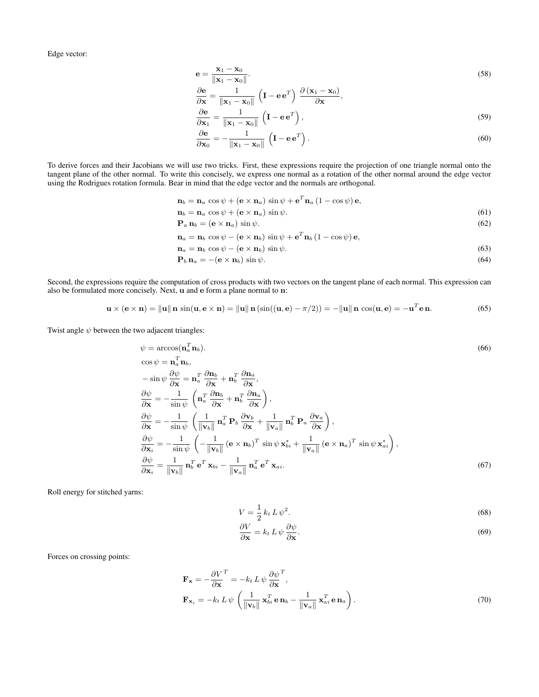Edge vector:

$$
\mathbf{e} = \frac{\mathbf{x}_1 - \mathbf{x}_0}{\|\mathbf{x}_1 - \mathbf{x}_0\|}.
$$
 (58)

$$
\frac{\partial \mathbf{e}}{\partial \mathbf{x}} = \frac{1}{\|\mathbf{x}_1 - \mathbf{x}_0\|} \left( \mathbf{I} - \mathbf{e} \mathbf{e}^T \right) \frac{\partial (\mathbf{x}_1 - \mathbf{x}_0)}{\partial \mathbf{x}},
$$
  

$$
\frac{\partial \mathbf{e}}{\partial \mathbf{x}} = \frac{1}{\|\mathbf{x}_1 - \mathbf{x}_0\|} \left( \mathbf{I} - \mathbf{e} \mathbf{e}^T \right),
$$
 (59)

$$
\frac{\partial \mathbf{x}_1}{\partial \mathbf{e}} = \frac{\mathbf{x}_1 - \mathbf{x}_0}{\|\mathbf{x}_1 - \mathbf{x}_0\|} \begin{pmatrix} \mathbf{I} - \mathbf{e} \mathbf{e} \\ \mathbf{I} \end{pmatrix},\tag{59}
$$

$$
\frac{\partial \mathbf{e}}{\partial \mathbf{x}_0} = -\frac{1}{\|\mathbf{x}_1 - \mathbf{x}_0\|} \left( \mathbf{I} - \mathbf{e} \mathbf{e}^T \right).
$$
 (60)

To derive forces and their Jacobians we will use two tricks. First, these expressions require the projection of one triangle normal onto the tangent plane of the other normal. To write this concisely, we express one normal as a rotation of the other normal around the edge vector using the Rodrigues rotation formula. Bear in mind that the edge vector and the normals are orthogonal.

$$
\mathbf{n}_b = \mathbf{n}_a \cos \psi + (\mathbf{e} \times \mathbf{n}_a) \sin \psi + \mathbf{e}^T \mathbf{n}_a (1 - \cos \psi) \mathbf{e},
$$
  
\n
$$
\mathbf{n}_b = \mathbf{n}_a \cos \psi + (\mathbf{e} \times \mathbf{n}_a) \sin \psi.
$$
 (61)

$$
\mathbf{P}_a \, \mathbf{n}_b = (\mathbf{e} \times \mathbf{n}_a) \sin \psi. \tag{62}
$$

$$
\mathbf{n}_{a}=\mathbf{n}_{b}\,\cos\psi-\left(\mathbf{e}\times\mathbf{n}_{b}\right)\sin\psi+\mathbf{e}^{T}\mathbf{n}_{b}\left(1-\cos\psi\right)\mathbf{e},
$$

$$
\mathbf{n}_a = \mathbf{n}_b \cos \psi - (\mathbf{e} \times \mathbf{n}_b) \sin \psi. \tag{63}
$$

$$
\mathbf{P}_b \,\mathbf{n}_a = -(\mathbf{e} \times \mathbf{n}_b) \sin \psi. \tag{64}
$$

Second, the expressions require the computation of cross products with two vectors on the tangent plane of each normal. This expression can also be formulated more concisely. Next, u and e form a plane normal to n:

$$
\mathbf{u} \times (\mathbf{e} \times \mathbf{n}) = \|\mathbf{u}\| \mathbf{n} \sin(\mathbf{u}, \mathbf{e} \times \mathbf{n}) = \|\mathbf{u}\| \mathbf{n} (\sin((\mathbf{u}, \mathbf{e}) - \pi/2)) = -\|\mathbf{u}\| \mathbf{n} \cos(\mathbf{u}, \mathbf{e}) = -\mathbf{u}^T \mathbf{e} \mathbf{n}.
$$
 (65)

Twist angle  $\psi$  between the two adjacent triangles:

$$
\psi = \arccos(\mathbf{n}_a^T \mathbf{n}_b).
$$
\n
$$
\cos \psi = \mathbf{n}_a^T \mathbf{n}_b,
$$
\n
$$
-\sin \psi \frac{\partial \psi}{\partial \mathbf{x}} = \mathbf{n}_a^T \frac{\partial \mathbf{n}_b}{\partial \mathbf{x}} + \mathbf{n}_b^T \frac{\partial \mathbf{n}_a}{\partial \mathbf{x}},
$$
\n
$$
\frac{\partial \psi}{\partial \mathbf{x}} = -\frac{1}{\sin \psi} \left( \mathbf{n}_a^T \frac{\partial \mathbf{n}_b}{\partial \mathbf{x}} + \mathbf{n}_b^T \frac{\partial \mathbf{n}_a}{\partial \mathbf{x}} \right),
$$
\n
$$
\frac{\partial \psi}{\partial \mathbf{x}} = -\frac{1}{\sin \psi} \left( \frac{1}{\|\mathbf{v}_b\|} \mathbf{n}_a^T \mathbf{P}_b \frac{\partial \mathbf{v}_b}{\partial \mathbf{x}} + \frac{1}{\|\mathbf{v}_a\|} \mathbf{n}_b^T \mathbf{P}_a \frac{\partial \mathbf{v}_a}{\partial \mathbf{x}} \right),
$$
\n
$$
\frac{\partial \psi}{\partial \mathbf{x}_i} = -\frac{1}{\sin \psi} \left( -\frac{1}{\|\mathbf{v}_b\|} (\mathbf{e} \times \mathbf{n}_b)^T \sin \psi \mathbf{x}_{bi}^* + \frac{1}{\|\mathbf{v}_a\|} (\mathbf{e} \times \mathbf{n}_a)^T \sin \psi \mathbf{x}_{ai}^* \right),
$$
\n
$$
\frac{\partial \psi}{\partial \mathbf{x}_i} = \frac{1}{\|\mathbf{v}_b\|} \mathbf{n}_b^T \mathbf{e}^T \mathbf{x}_{bi} - \frac{1}{\|\mathbf{v}_a\|} \mathbf{n}_a^T \mathbf{e}^T \mathbf{x}_{ai}.
$$
\n(67)

Roll energy for stitched yarns:

$$
V = \frac{1}{2}k_t L \psi^2. \tag{68}
$$

$$
\frac{\partial V}{\partial \mathbf{x}} = k_t L \psi \frac{\partial \psi}{\partial \mathbf{x}}.\tag{69}
$$

Forces on crossing points:

$$
\mathbf{F}_{\mathbf{x}} = -\frac{\partial V}{\partial \mathbf{x}}^T = -k_t L \psi \frac{\partial \psi}{\partial \mathbf{x}}^T,
$$
  

$$
\mathbf{F}_{\mathbf{x}_i} = -k_t L \psi \left( \frac{1}{\|\mathbf{v}_b\|} \mathbf{x}_{bi}^T \mathbf{e} \mathbf{n}_b - \frac{1}{\|\mathbf{v}_a\|} \mathbf{x}_{ai}^T \mathbf{e} \mathbf{n}_a \right).
$$
 (70)